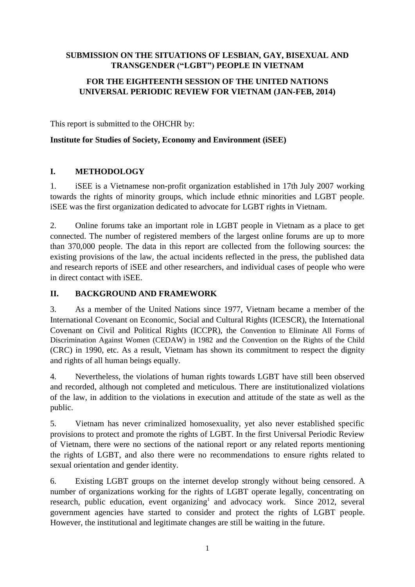### **SUBMISSION ON THE SITUATIONS OF LESBIAN, GAY, BISEXUAL AND TRANSGENDER ("LGBT") PEOPLE IN VIETNAM**

### **FOR THE EIGHTEENTH SESSION OF THE UNITED NATIONS UNIVERSAL PERIODIC REVIEW FOR VIETNAM (JAN-FEB, 2014)**

This report is submitted to the OHCHR by:

#### **Institute for Studies of Society, Economy and Environment (iSEE)**

#### **I. METHODOLOGY**

1. iSEE is a Vietnamese non-profit organization established in 17th July 2007 working towards the rights of minority groups, which include ethnic minorities and LGBT people. iSEE was the first organization dedicated to advocate for LGBT rights in Vietnam.

2. Online forums take an important role in LGBT people in Vietnam as a place to get connected. The number of registered members of the largest online forums are up to more than 370,000 people. The data in this report are collected from the following sources: the existing provisions of the law, the actual incidents reflected in the press, the published data and research reports of iSEE and other researchers, and individual cases of people who were in direct contact with iSEE.

#### **II. BACKGROUND AND FRAMEWORK**

3. As a member of the United Nations since 1977, Vietnam became a member of the International Covenant on Economic, Social and Cultural Rights (ICESCR), the International Covenant on Civil and Political Rights (ICCPR), the Convention to Eliminate All Forms of Discrimination Against Women (CEDAW) in 1982 and the Convention on the Rights of the Child (CRC) in 1990, etc. As a result, Vietnam has shown its commitment to respect the dignity and rights of all human beings equally.

4. Nevertheless, the violations of human rights towards LGBT have still been observed and recorded, although not completed and meticulous. There are institutionalized violations of the law, in addition to the violations in execution and attitude of the state as well as the public.

5. Vietnam has never criminalized homosexuality, yet also never established specific provisions to protect and promote the rights of LGBT. In the first Universal Periodic Review of Vietnam, there were no sections of the national report or any related reports mentioning the rights of LGBT, and also there were no recommendations to ensure rights related to sexual orientation and gender identity.

6. Existing LGBT groups on the internet develop strongly without being censored. A number of organizations working for the rights of LGBT operate legally, concentrating on research, public education, event organizing<sup>1</sup> and advocacy work. Since 2012, several government agencies have started to consider and protect the rights of LGBT people. However, the institutional and legitimate changes are still be waiting in the future.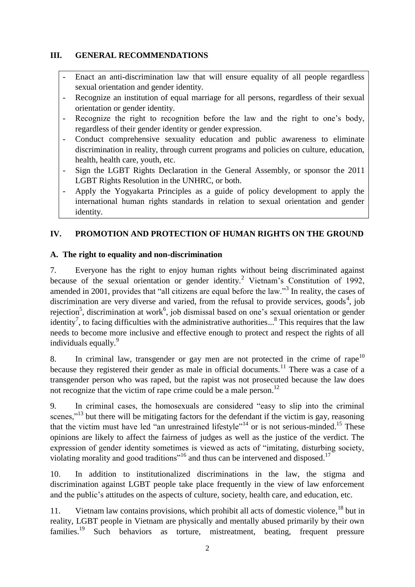### **III. GENERAL RECOMMENDATIONS**

- Enact an anti-discrimination law that will ensure equality of all people regardless sexual orientation and gender identity.
- Recognize an institution of equal marriage for all persons, regardless of their sexual orientation or gender identity.
- Recognize the right to recognition before the law and the right to one's body, regardless of their gender identity or gender expression.
- Conduct comprehensive sexuality education and public awareness to eliminate discrimination in reality, through current programs and policies on culture, education, health, health care, youth, etc.
- Sign the LGBT Rights Declaration in the General Assembly, or sponsor the 2011 LGBT Rights Resolution in the UNHRC, or both.
- Apply the Yogyakarta Principles as a guide of policy development to apply the international human rights standards in relation to sexual orientation and gender identity.

### **IV. PROMOTION AND PROTECTION OF HUMAN RIGHTS ON THE GROUND**

### **A. The right to equality and non-discrimination**

7. Everyone has the right to enjoy human rights without being discriminated against because of the sexual orientation or gender identity.<sup>2</sup> Vietnam's Constitution of 1992, amended in 2001, provides that "all citizens are equal before the law."<sup>3</sup> In reality, the cases of discrimination are very diverse and varied, from the refusal to provide services, goods<sup>4</sup>, job rejection<sup>5</sup>, discrimination at work<sup>6</sup>, job dismissal based on one's sexual orientation or gender identity<sup>7</sup>, to facing difficulties with the administrative authorities...<sup>8</sup> This requires that the law needs to become more inclusive and effective enough to protect and respect the rights of all individuals equally.<sup>9</sup>

8. In criminal law, transgender or gay men are not protected in the crime of rape<sup>10</sup> because they registered their gender as male in official documents.<sup>11</sup> There was a case of a transgender person who was raped, but the rapist was not prosecuted because the law does not recognize that the victim of rape crime could be a male person.<sup>12</sup>

9. In criminal cases, the homosexuals are considered "easy to slip into the criminal scenes,"<sup>13</sup> but there will be mitigating factors for the defendant if the victim is gay, reasoning that the victim must have led "an unrestrained lifestyle"<sup>14</sup> or is not serious-minded.<sup>15</sup> These opinions are likely to affect the fairness of judges as well as the justice of the verdict. The expression of gender identity sometimes is viewed as acts of "imitating, disturbing society, violating morality and good traditions"<sup>16</sup> and thus can be intervened and disposed.<sup>17</sup>

10. In addition to institutionalized discriminations in the law, the stigma and discrimination against LGBT people take place frequently in the view of law enforcement and the public's attitudes on the aspects of culture, society, health care, and education, etc.

11. Vietnam law contains provisions, which prohibit all acts of domestic violence.<sup>18</sup> but in reality, LGBT people in Vietnam are physically and mentally abused primarily by their own families.<sup>19</sup> Such behaviors as torture, mistreatment, beating, frequent pressure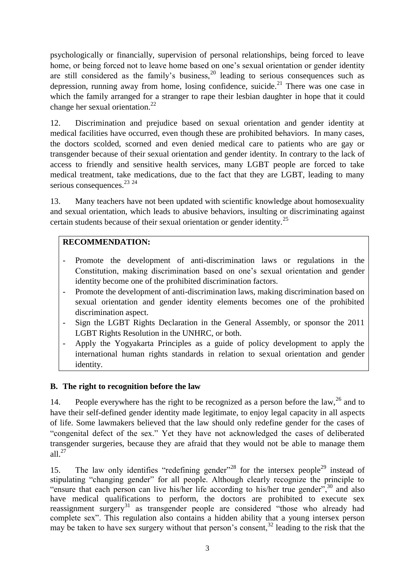psychologically or financially, supervision of personal relationships, being forced to leave home, or being forced not to leave home based on one's sexual orientation or gender identity are still considered as the family's business,  $20$  leading to serious consequences such as depression, running away from home, losing confidence, suicide.<sup>21</sup> There was one case in which the family arranged for a stranger to rape their lesbian daughter in hope that it could change her sexual orientation.<sup>22</sup>

12. Discrimination and prejudice based on sexual orientation and gender identity at medical facilities have occurred, even though these are prohibited behaviors. In many cases, the doctors scolded, scorned and even denied medical care to patients who are gay or transgender because of their sexual orientation and gender identity. In contrary to the lack of access to friendly and sensitive health services, many LGBT people are forced to take medical treatment, take medications, due to the fact that they are LGBT, leading to many serious consequences.<sup>23</sup> <sup>24</sup>

13. Many teachers have not been updated with scientific knowledge about homosexuality and sexual orientation, which leads to abusive behaviors, insulting or discriminating against certain students because of their sexual orientation or gender identity.<sup>25</sup>

### **RECOMMENDATION:**

- Promote the development of anti-discrimination laws or regulations in the Constitution, making discrimination based on one's sexual orientation and gender identity become one of the prohibited discrimination factors.
- Promote the development of anti-discrimination laws, making discrimination based on sexual orientation and gender identity elements becomes one of the prohibited discrimination aspect.
- Sign the LGBT Rights Declaration in the General Assembly, or sponsor the 2011 LGBT Rights Resolution in the UNHRC, or both.
- Apply the Yogyakarta Principles as a guide of policy development to apply the international human rights standards in relation to sexual orientation and gender identity.

#### **B. The right to recognition before the law**

14. People everywhere has the right to be recognized as a person before the law,  $^{26}$  and to have their self-defined gender identity made legitimate, to enjoy legal capacity in all aspects of life. Some lawmakers believed that the law should only redefine gender for the cases of "congenital defect of the sex." Yet they have not acknowledged the cases of deliberated transgender surgeries, because they are afraid that they would not be able to manage them all. $27$ 

15. The law only identifies "redefining gender"<sup>28</sup> for the intersex people<sup>29</sup> instead of stipulating "changing gender" for all people. Although clearly recognize the principle to "ensure that each person can live his/her life according to his/her true gender", $^{30}$  and also have medical qualifications to perform, the doctors are prohibited to execute sex reassignment surgery<sup>31</sup> as transgender people are considered "those who already had complete sex". This regulation also contains a hidden ability that a young intersex person may be taken to have sex surgery without that person's consent,  $32$  leading to the risk that the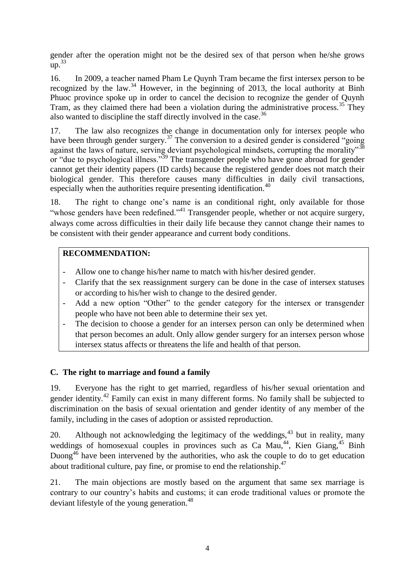gender after the operation might not be the desired sex of that person when he/she grows  $up.<sup>33</sup>$ 

16. In 2009, a teacher named Pham Le Quynh Tram became the first intersex person to be recognized by the law.<sup>34</sup> However, in the beginning of 2013, the local authority at Binh Phuoc province spoke up in order to cancel the decision to recognize the gender of Quynh Tram, as they claimed there had been a violation during the administrative process.<sup>35</sup> They also wanted to discipline the staff directly involved in the case.<sup>36</sup>

17. The law also recognizes the change in documentation only for intersex people who have been through gender surgery.<sup>37</sup> The conversion to a desired gender is considered "going" against the laws of nature, serving deviant psychological mindsets, corrupting the morality"<sup>38</sup> or "due to psychological illness."<sup>39</sup> The transgender people who have gone abroad for gender cannot get their identity papers (ID cards) because the registered gender does not match their biological gender. This therefore causes many difficulties in daily civil transactions, especially when the authorities require presenting identification.<sup>40</sup>

18. The right to change one's name is an conditional right, only available for those "whose genders have been redefined."<sup>41</sup> Transgender people, whether or not acquire surgery, always come across difficulties in their daily life because they cannot change their names to be consistent with their gender appearance and current body conditions.

#### **RECOMMENDATION:**

- Allow one to change his/her name to match with his/her desired gender.
- Clarify that the sex reassignment surgery can be done in the case of intersex statuses or according to his/her wish to change to the desired gender.
- Add a new option "Other" to the gender category for the intersex or transgender people who have not been able to determine their sex yet.
- The decision to choose a gender for an intersex person can only be determined when that person becomes an adult. Only allow gender surgery for an intersex person whose intersex status affects or threatens the life and health of that person.

#### **C. The right to marriage and found a family**

19. Everyone has the right to get married, regardless of his/her sexual orientation and gender identity.<sup>42</sup> Family can exist in many different forms. No family shall be subjected to discrimination on the basis of sexual orientation and gender identity of any member of the family, including in the cases of adoption or assisted reproduction.

20. Although not acknowledging the legitimacy of the weddings,  $43$  but in reality, many weddings of homosexual couples in provinces such as Ca Mau,<sup>44</sup>, Kien Giang,<sup>45</sup> Binh Duong<sup> $46$ </sup> have been intervened by the authorities, who ask the couple to do to get education about traditional culture, pay fine, or promise to end the relationship.<sup>47</sup>

21. The main objections are mostly based on the argument that same sex marriage is contrary to our country's habits and customs; it can erode traditional values or promote the deviant lifestyle of the young generation.<sup>48</sup>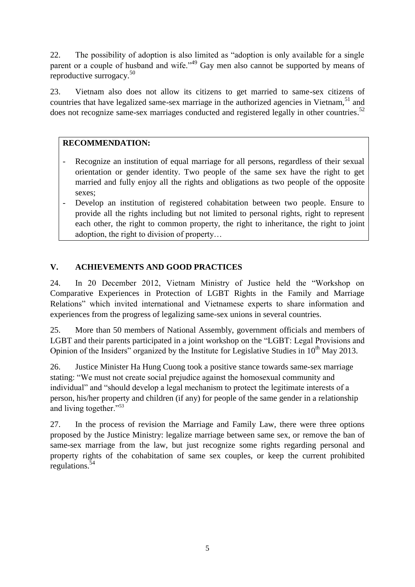22. The possibility of adoption is also limited as "adoption is only available for a single parent or a couple of husband and wife."<sup>49</sup> Gay men also cannot be supported by means of reproductive surrogacy.<sup>50</sup>

23. Vietnam also does not allow its citizens to get married to same-sex citizens of countries that have legalized same-sex marriage in the authorized agencies in Vietnam,  $51$  and does not recognize same-sex marriages conducted and registered legally in other countries.<sup>52</sup>

## **RECOMMENDATION:**

- Recognize an institution of equal marriage for all persons, regardless of their sexual orientation or gender identity. Two people of the same sex have the right to get married and fully enjoy all the rights and obligations as two people of the opposite sexes;
- Develop an institution of registered cohabitation between two people. Ensure to provide all the rights including but not limited to personal rights, right to represent each other, the right to common property, the right to inheritance, the right to joint adoption, the right to division of property…

# **V. ACHIEVEMENTS AND GOOD PRACTICES**

24. In 20 December 2012, Vietnam Ministry of Justice held the "Workshop on Comparative Experiences in Protection of LGBT Rights in the Family and Marriage Relations" which invited international and Vietnamese experts to share information and experiences from the progress of legalizing same-sex unions in several countries.

25. More than 50 members of National Assembly, government officials and members of LGBT and their parents participated in a joint workshop on the "LGBT: Legal Provisions and Opinion of the Insiders" organized by the Institute for Legislative Studies in  $10<sup>th</sup>$  May 2013.

26. Justice Minister Ha Hung Cuong took a positive stance towards same-sex marriage stating: "We must not create social prejudice against the homosexual community and individual" and "should develop a legal mechanism to protect the legitimate interests of a person, his/her property and children (if any) for people of the same gender in a relationship and living together."<sup>53</sup>

27. In the process of revision the Marriage and Family Law, there were three options proposed by the Justice Ministry: legalize marriage between same sex, or remove the ban of same-sex marriage from the law, but just recognize some rights regarding personal and property rights of the cohabitation of same sex couples, or keep the current prohibited regulations.<sup>54</sup>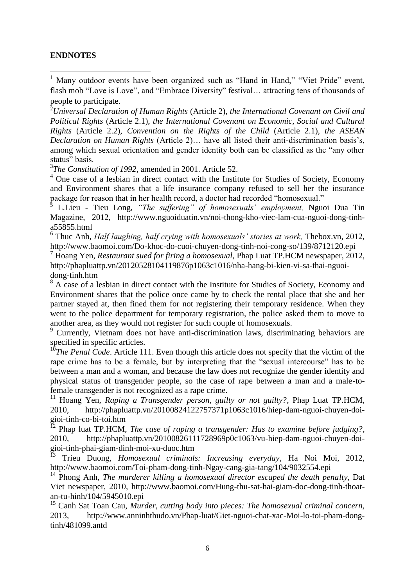#### **ENDNOTES**

1

<sup>1</sup> Many outdoor events have been organized such as "Hand in Hand," "Viet Pride" event, flash mob "Love is Love", and "Embrace Diversity" festival… attracting tens of thousands of people to participate.

<sup>2</sup>*Universal Declaration of Human Rights* (Article 2), *the International Covenant on Civil and Political Rights* (Article 2.1), *the International Covenant on Economic, Social and Cultural Rights* (Article 2.2), *Convention on the Rights of the Child* (Article 2.1), *the ASEAN Declaration on Human Rights* (Article 2)… have all listed their anti-discrimination basis's, among which sexual orientation and gender identity both can be classified as the "any other status" basis.

3 *The Constitution of 1992*, amended in 2001. Article 52.

<sup>4</sup> One case of a lesbian in direct contact with the Institute for Studies of Society, Economy and Environment shares that a life insurance company refused to sell her the insurance package for reason that in her health record, a doctor had recorded "homosexual."

5 L.Lieu - Tieu Long, *"The suffering" of homosexuals' employment,* Nguoi Dua Tin Magazine, 2012, http://www.nguoiduatin.vn/noi-thong-kho-viec-lam-cua-nguoi-dong-tinha55855.html

<sup>6</sup> Thuc Anh, *Half laughing, half crying with homosexuals' stories at work, Thebox.vn, 2012,* http://www.baomoi.com/Do-khoc-do-cuoi-chuyen-dong-tinh-noi-cong-so/139/8712120.epi

<sup>7</sup> Hoang Yen, *Restaurant sued for firing a homosexual,* Phap Luat TP.HCM newspaper, 2012, http://phapluattp.vn/20120528104119876p1063c1016/nha-hang-bi-kien-vi-sa-thai-nguoidong-tinh.htm

<sup>8</sup> A case of a lesbian in direct contact with the Institute for Studies of Society, Economy and Environment shares that the police once came by to check the rental place that she and her partner stayed at, then fined them for not registering their temporary residence. When they went to the police department for temporary registration, the police asked them to move to another area, as they would not register for such couple of homosexuals.

<sup>9</sup> Currently, Vietnam does not have anti-discrimination laws, discriminating behaviors are specified in specific articles.

<sup>10</sup>*The Penal Code*. Article 111. Even though this article does not specify that the victim of the rape crime has to be a female, but by interpreting that the "sexual intercourse" has to be between a man and a woman, and because the law does not recognize the gender identity and physical status of transgender people, so the case of rape between a man and a male-tofemale transgender is not recognized as a rape crime.

<sup>11</sup> Hoang Yen, *Raping a Transgender person, guilty or not guilty?*, Phap Luat TP.HCM, 2010, http://phapluattp.vn/20100824122757371p1063c1016/hiep-dam-nguoi-chuyen-doigioi-tinh-co-bi-toi.htm

<sup>12</sup> Phap luat TP.HCM, *The case of raping a transgender: Has to examine before judging?*, 2010, http://phapluattp.vn/20100826111728969p0c1063/vu-hiep-dam-nguoi-chuyen-doigioi-tinh-phai-giam-dinh-moi-xu-duoc.htm

<sup>13</sup> Trieu Duong, *Homosexual criminals: Increasing everyday*, Ha Noi Moi, 2012, http://www.baomoi.com/Toi-pham-dong-tinh-Ngay-cang-gia-tang/104/9032554.epi

<sup>14</sup> Phong Anh, *The murderer killing a homosexual director escaped the death penalty*, Dat Viet newspaper, 2010, http://www.baomoi.com/Hung-thu-sat-hai-giam-doc-dong-tinh-thoatan-tu-hinh/104/5945010.epi

<sup>15</sup> Canh Sat Toan Cau, *Murder, cutting body into pieces: The homosexual criminal concern,*  2013, http://www.anninhthudo.vn/Phap-luat/Giet-nguoi-chat-xac-Moi-lo-toi-pham-dongtinh/481099.antd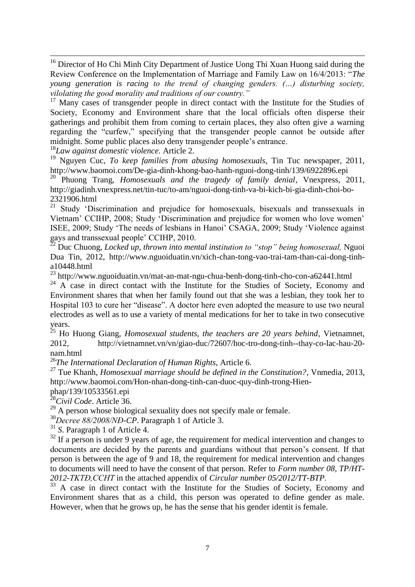1 <sup>16</sup> Director of Ho Chi Minh City Department of Justice Uong Thi Xuan Huong said during the Review Conference on the Implementation of Marriage and Family Law on 16/4/2013: "*The young generation is racing to the trend of changing genders. (…) disturbing society, vilolating the good morality and traditions of our country."* 

 $17$  Many cases of transgender people in direct contact with the Institute for the Studies of Society, Economy and Environment share that the local officials often disperse their gatherings and prohibit them from coming to certain places, they also often give a warning regarding the "curfew," specifying that the transgender people cannot be outside after midnight. Some public places also deny transgender people's entrance.

<sup>18</sup>*Law against domestic violence.* Article 2.

<sup>19</sup> Nguyen Cuc, *To keep families from abusing homosexuals*, Tin Tuc newspaper, 2011, http://www.baomoi.com/De-gia-dinh-khong-bao-hanh-nguoi-dong-tinh/139/6922896.epi

<sup>20</sup> Phuong Trang, *Homosexuals and the tragedy of family denial*, Vnexpress, 2011, http://giadinh.vnexpress.net/tin-tuc/to-am/nguoi-dong-tinh-va-bi-kich-bi-gia-dinh-choi-bo-2321906.html

 $21222233333$ <br><sup>21</sup> Study 'Discrimination and prejudice for homosexuals, bisexuals and transsexuals in Vietnam' CCIHP, 2008; Study 'Discrimination and prejudice for women who love women' ISEE, 2009; Study 'The needs of lesbians in Hanoi' CSAGA, 2009; Study 'Violence against gays and transsexual people' CCIHP, 2010.

<sup>22</sup> Duc Chuong, *Locked up, thrown into mental institution to "stop" being homosexual,* Nguoi Dua Tin, 2012, http://www.nguoiduatin.vn/xich-chan-tong-vao-trai-tam-than-cai-dong-tinha10448.html

<sup>23</sup> http://www.nguoiduatin.vn/mat-an-mat-ngu-chua-benh-dong-tinh-cho-con-a62441.html

 $24$  A case in direct contact with the Institute for the Studies of Society, Economy and Environment shares that when her family found out that she was a lesbian, they took her to Hospital 103 to cure her "disease". A doctor here even adopted the measure to use two neural electrodes as well as to use a variety of mental medications for her to take in two consecutive years.

<sup>25</sup> Ho Huong Giang, *Homosexual students, the teachers are 20 years behind*, Vietnamnet, 2012, http://vietnamnet.vn/vn/giao-duc/72607/hoc-tro-dong-tinh--thay-co-lac-hau-20 nam.html

<sup>26</sup>*The International Declaration of Human Rights,* Article 6.

<sup>27</sup> Tue Khanh, *Homosexual marriage should be defined in the Constitution?*, Vnmedia, 2013, http://www.baomoi.com/Hon-nhan-dong-tinh-can-duoc-quy-dinh-trong-Hien-

phap/139/10533561.epi

<sup>28</sup>*Civil Code*. Article 36.

 $29$  A person whose biological sexuality does not specify male or female.

<sup>30</sup>*Decree 88/2008/NĐ-CP*. Paragraph 1 of Article 3.

<sup>31</sup> *S*. Paragraph 1 of Article 4.

 $32$  If a person is under 9 years of age, the requirement for medical intervention and changes to documents are decided by the parents and guardians without that person's consent. If that person is between the age of 9 and 18, the requirement for medical intervention and changes to documents will need to have the consent of that person. Refer to *Form number 08, TP/HT-2012-TKTĐ,CCHT* in the attached appendix of *Circular number 05/2012/TT-BTP*.

<sup>33</sup> A case in direct contact with the Institute for the Studies of Society, Economy and Environment shares that as a child, this person was operated to define gender as male. However, when that he grows up, he has the sense that his gender identit is female.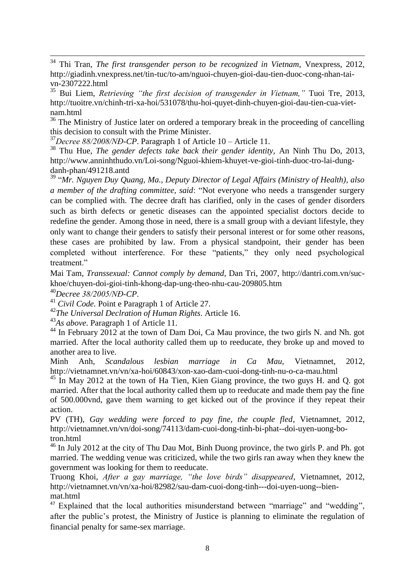<sup>36</sup> The Ministry of Justice later on ordered a temporary break in the proceeding of cancelling this decision to consult with the Prime Minister.

<sup>37</sup>*Decree 88/2008/NĐ-CP*. Paragraph 1 of Article 10 – Article 11.

<sup>38</sup> Thu Hue, *The gender defects take back their gender identity,* An Ninh Thu Do, 2013, http://www.anninhthudo.vn/Loi-song/Nguoi-khiem-khuyet-ve-gioi-tinh-duoc-tro-lai-dungdanh-phan/491218.antd

<sup>39</sup> "*Mr. Nguyen Duy Quang, Ma., Deputy Director of Legal Affairs (Ministry of Health), also a member of the drafting committee, said*: "Not everyone who needs a transgender surgery can be complied with. The decree draft has clarified, only in the cases of gender disorders such as birth defects or genetic diseases can the appointed specialist doctors decide to redefine the gender. Among those in need, there is a small group with a deviant lifestyle, they only want to change their genders to satisfy their personal interest or for some other reasons, these cases are prohibited by law. From a physical standpoint, their gender has been completed without interference. For these "patients," they only need psychological treatment."

Mai Tam, *Transsexual: Cannot comply by demand*, Dan Tri, 2007, http://dantri.com.vn/suckhoe/chuyen-doi-gioi-tinh-khong-dap-ung-theo-nhu-cau-209805.htm

<sup>40</sup>*Decree 38/2005/NĐ-CP*.

1

<sup>41</sup> *Civil Code.* Point e Paragraph 1 of Article 27.

<sup>42</sup>*The Universal Declration of Human Rights*. Article 16.

<sup>43</sup>*As above*. Paragraph 1 of Article 11.

 $^{44}$  In February 2012 at the town of Dam Doi, Ca Mau province, the two girls N, and Nh, got married. After the local authority called them up to reeducate, they broke up and moved to another area to live.

Minh Anh, *Scandalous lesbian marriage in Ca Mau,* Vietnamnet, 2012, http://vietnamnet.vn/vn/xa-hoi/60843/xon-xao-dam-cuoi-dong-tinh-nu-o-ca-mau.html

 $45$  In May 2012 at the town of Ha Tien, Kien Giang province, the two guys H. and Q. got married. After that the local authority called them up to reeducate and made them pay the fine of 500.000vnd, gave them warning to get kicked out of the province if they repeat their action.

PV (TH), *Gay wedding were forced to pay fine, the couple fled*, Vietnamnet, 2012, http://vietnamnet.vn/vn/doi-song/74113/dam-cuoi-dong-tinh-bi-phat--doi-uyen-uong-botron.html

 $^{46}$  In July 2012 at the city of Thu Dau Mot. Binh Duong province, the two girls P, and Ph, got married. The wedding venue was criticized, while the two girls ran away when they knew the government was looking for them to reeducate.

Truong Khoi, *After a gay marriage, "the love birds" disappeared*, Vietnamnet, 2012, http://vietnamnet.vn/vn/xa-hoi/82982/sau-dam-cuoi-dong-tinh---doi-uyen-uong--bienmat.html

<sup>47</sup> Explained that the local authorities misunderstand between "marriage" and "wedding", after the public's protest, the Ministry of Justice is planning to eliminate the regulation of financial penalty for same-sex marriage.

<sup>34</sup> Thi Tran, *The first transgender person to be recognized in Vietnam,* Vnexpress, 2012, http://giadinh.vnexpress.net/tin-tuc/to-am/nguoi-chuyen-gioi-dau-tien-duoc-cong-nhan-taivn-2307222.html

<sup>35</sup> Bui Liem, *Retrieving "the first decision of transgender in Vietnam,"* Tuoi Tre, 2013, http://tuoitre.vn/chinh-tri-xa-hoi/531078/thu-hoi-quyet-dinh-chuyen-gioi-dau-tien-cua-vietnam.html